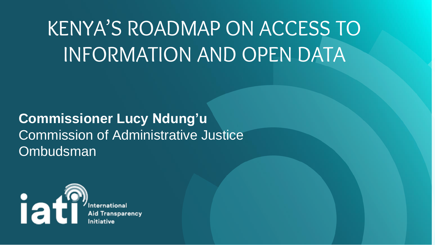### KENYA'S ROADMAP ON ACCESS TO INFORMATION AND OPEN DATA

#### **Commissioner Lucy Ndung'u** Commission of Administrative Justice **Ombudsman**



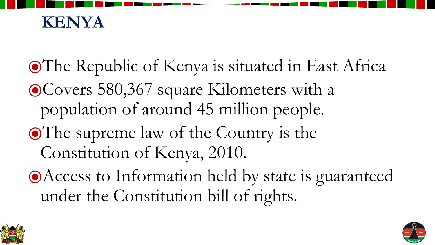⦿The Republic of Kenya is situated in East Africa ⦿Covers 580,367 square Kilometers with a population of around 45 million people. ⦿The supreme law of the Country is the Constitution of Kenya, 2010. ⦿Access to Information held by state is guaranteed under the Constitution bill of rights.



- 
- 
- 





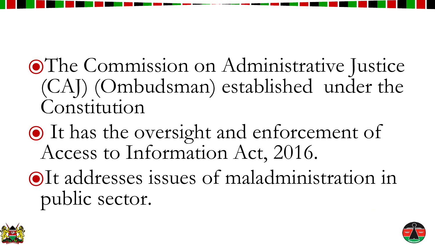#### ⦿The Commission on Administrative Justice (CAJ) (Ombudsman) established under the Constitution

# ⦿ It has the oversight and enforcement of





Access to Information Act, 2016.

⦿It addresses issues of maladministration in public sector.

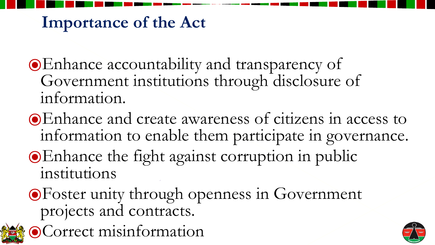⦿Enhance accountability and transparency of Government institutions through disclosure of information.

⦿Enhance and create awareness of citizens in access to information to enable them participate in governance.





- 
- ⦿Enhance the fight against corruption in public institutions

⦿Foster unity through openness in Government projects and contracts. ⦿Correct misinformation



#### **Importance of the Act**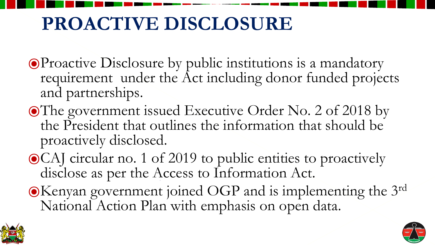⦿Proactive Disclosure by public institutions is a mandatory requirement under the Act including donor funded projects

⦿The government issued Executive Order No. 2 of 2018 by the President that outlines the information that should be

- and partnerships.
- proactively disclosed.
- disclose as per the Access to Information Act.
- National Action Plan with emphasis on open data.



⦿CAJ circular no. 1 of 2019 to public entities to proactively

●Kenyan government joined OGP and is implementing the 3rd



#### **PROACTIVE DISCLOSURE**